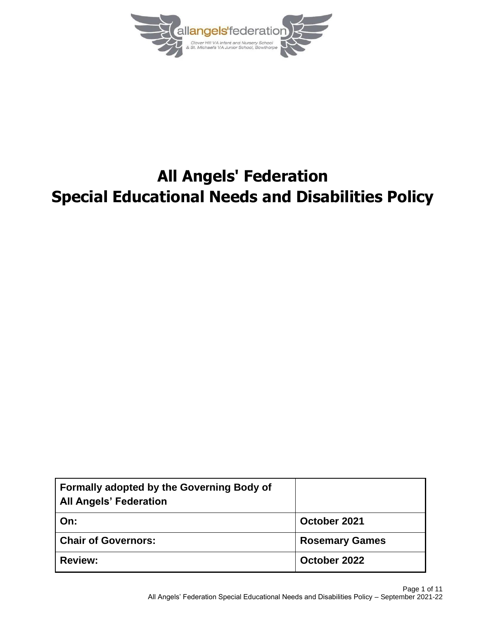

# **All Angels' Federation Special Educational Needs and Disabilities Policy**

| <b>Formally adopted by the Governing Body of</b><br><b>All Angels' Federation</b> |                       |
|-----------------------------------------------------------------------------------|-----------------------|
| On:                                                                               | October 2021          |
| <b>Chair of Governors:</b>                                                        | <b>Rosemary Games</b> |
| <b>Review:</b>                                                                    | October 2022          |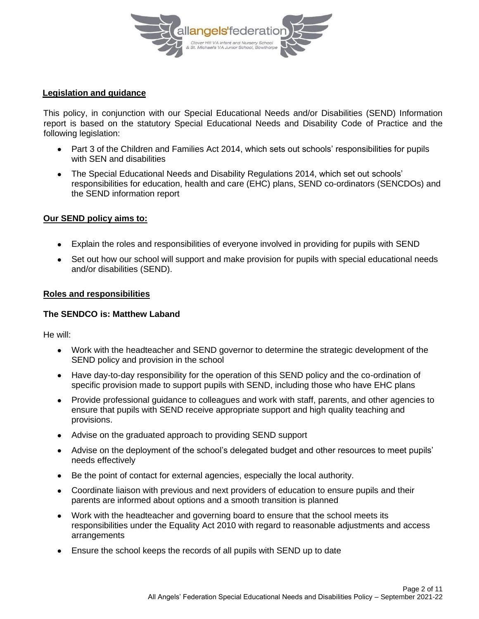

## **Legislation and guidance**

This policy, in conjunction with our Special Educational Needs and/or Disabilities (SEND) Information report is based on the statutory [Special Educational Needs and Disability](https://www.gov.uk/government/uploads/system/uploads/attachment_data/file/398815/SEND_Code_of_Practice_January_2015.pdf) Code of Practice and the following legislation:

- [Part 3 of the Children and Families Act 2014,](http://www.legislation.gov.uk/ukpga/2014/6/part/3) which sets out schools' responsibilities for pupils with SEN and disabilities
- [The Special Educational Needs and Disability Regulations 2014,](http://www.legislation.gov.uk/uksi/2014/1530/contents/made) which set out schools' responsibilities for education, health and care (EHC) plans, SEND co-ordinators (SENCDOs) and the SEND information report

## **Our SEND policy aims to:**

- Explain the roles and responsibilities of everyone involved in providing for pupils with SEND
- Set out how our school will support and make provision for pupils with special educational needs and/or disabilities (SEND).

## **Roles and responsibilities**

## **The SENDCO is: Matthew Laband**

He will:

- Work with the headteacher and SEND governor to determine the strategic development of the SEND policy and provision in the school
- Have day-to-day responsibility for the operation of this SEND policy and the co-ordination of specific provision made to support pupils with SEND, including those who have EHC plans
- Provide professional guidance to colleagues and work with staff, parents, and other agencies to ensure that pupils with SEND receive appropriate support and high quality teaching and provisions.
- Advise on the graduated approach to providing SEND support
- Advise on the deployment of the school's delegated budget and other resources to meet pupils' needs effectively
- Be the point of contact for external agencies, especially the local authority.
- Coordinate liaison with previous and next providers of education to ensure pupils and their parents are informed about options and a smooth transition is planned
- Work with the headteacher and governing board to ensure that the school meets its responsibilities under the Equality Act 2010 with regard to reasonable adjustments and access arrangements
- Ensure the school keeps the records of all pupils with SEND up to date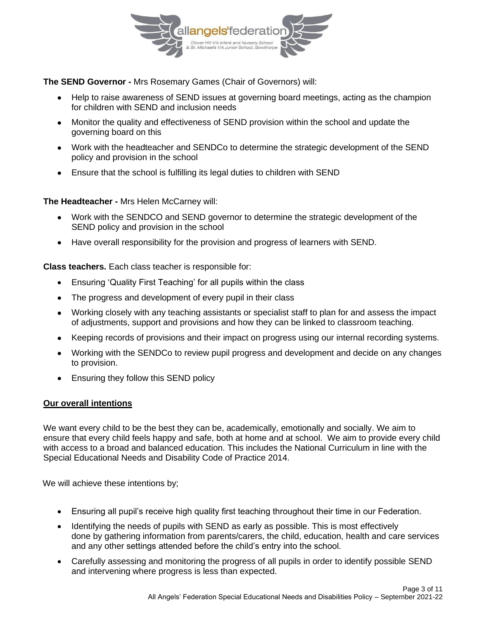

**The SEND Governor -** Mrs Rosemary Games (Chair of Governors) will:

- Help to raise awareness of SEND issues at governing board meetings, acting as the champion for children with SEND and inclusion needs
- Monitor the quality and effectiveness of SEND provision within the school and update the governing board on this
- Work with the headteacher and SENDCo to determine the strategic development of the SEND policy and provision in the school
- Ensure that the school is fulfilling its legal duties to children with SEND

**The Headteacher -** Mrs Helen McCarney will:

- Work with the SENDCO and SEND governor to determine the strategic development of the SEND policy and provision in the school
- Have overall responsibility for the provision and progress of learners with SEND.

**Class teachers.** Each class teacher is responsible for:

- Ensuring 'Quality First Teaching' for all pupils within the class
- The progress and development of every pupil in their class
- Working closely with any teaching assistants or specialist staff to plan for and assess the impact of adjustments, support and provisions and how they can be linked to classroom teaching.
- Keeping records of provisions and their impact on progress using our internal recording systems.
- Working with the SENDCo to review pupil progress and development and decide on any changes to provision.
- Ensuring they follow this SEND policy

## **Our overall intentions**

We want every child to be the best they can be, academically, emotionally and socially. We aim to ensure that every child feels happy and safe, both at home and at school. We aim to provide every child with access to a broad and balanced education. This includes the National Curriculum in line with the Special Educational Needs and Disability Code of Practice 2014.

We will achieve these intentions by;

- Ensuring all pupil's receive high quality first teaching throughout their time in our Federation.
- Identifying the needs of pupils with SEND as early as possible. This is most effectively done by gathering information from parents/carers, the child, education, health and care services and any other settings attended before the child's entry into the school.
- Carefully assessing and monitoring the progress of all pupils in order to identify possible SEND and intervening where progress is less than expected.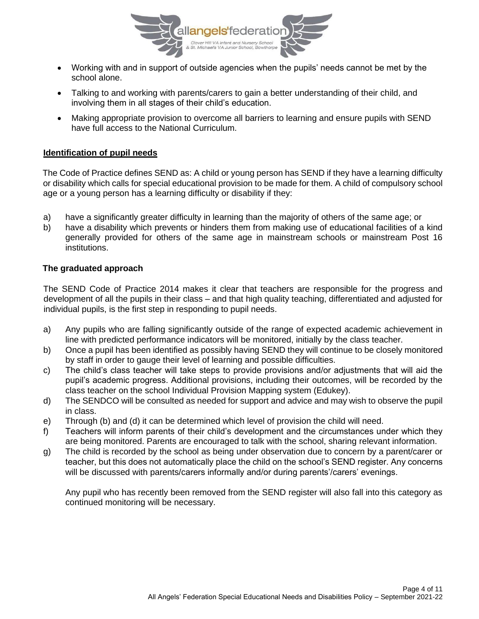

- Working with and in support of outside agencies when the pupils' needs cannot be met by the school alone.
- Talking to and working with parents/carers to gain a better understanding of their child, and involving them in all stages of their child's education.
- Making appropriate provision to overcome all barriers to learning and ensure pupils with SEND have full access to the National Curriculum.

## **Identification of pupil needs**

The Code of Practice defines SEND as: A child or young person has SEND if they have a learning difficulty or disability which calls for special educational provision to be made for them. A child of compulsory school age or a young person has a learning difficulty or disability if they:

- a) have a significantly greater difficulty in learning than the majority of others of the same age; or
- b) have a disability which prevents or hinders them from making use of educational facilities of a kind generally provided for others of the same age in mainstream schools or mainstream Post 16 institutions.

## **The graduated approach**

The SEND Code of Practice 2014 makes it clear that teachers are responsible for the progress and development of all the pupils in their class – and that high quality teaching, differentiated and adjusted for individual pupils, is the first step in responding to pupil needs.

- a) Any pupils who are falling significantly outside of the range of expected academic achievement in line with predicted performance indicators will be monitored, initially by the class teacher.
- b) Once a pupil has been identified as possibly having SEND they will continue to be closely monitored by staff in order to gauge their level of learning and possible difficulties.
- c) The child's class teacher will take steps to provide provisions and/or adjustments that will aid the pupil's academic progress. Additional provisions, including their outcomes, will be recorded by the class teacher on the school Individual Provision Mapping system (Edukey).
- d) The SENDCO will be consulted as needed for support and advice and may wish to observe the pupil in class.
- e) Through (b) and (d) it can be determined which level of provision the child will need.
- f) Teachers will inform parents of their child's development and the circumstances under which they are being monitored. Parents are encouraged to talk with the school, sharing relevant information.
- g) The child is recorded by the school as being under observation due to concern by a parent/carer or teacher, but this does not automatically place the child on the school's SEND register. Any concerns will be discussed with parents/carers informally and/or during parents'/carers' evenings.

Any pupil who has recently been removed from the SEND register will also fall into this category as continued monitoring will be necessary.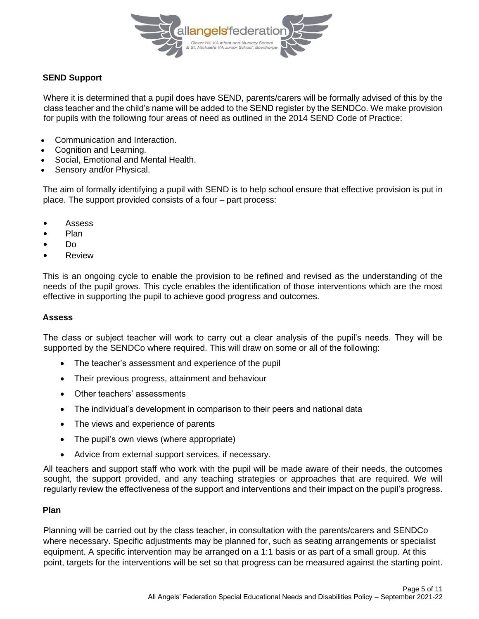

## **SEND Support**

Where it is determined that a pupil does have SEND, parents/carers will be formally advised of this by the class teacher and the child's name will be added to the SEND register by the SENDCo. We make provision for pupils with the following four areas of need as outlined in the 2014 SEND Code of Practice:

- Communication and Interaction.
- Cognition and Learning.
- Social, Emotional and Mental Health.
- Sensory and/or Physical.

The aim of formally identifying a pupil with SEND is to help school ensure that effective provision is put in place. The support provided consists of a four – part process:

- Assess
- Plan
- Do
- **Review**

This is an ongoing cycle to enable the provision to be refined and revised as the understanding of the needs of the pupil grows. This cycle enables the identification of those interventions which are the most effective in supporting the pupil to achieve good progress and outcomes.

#### **Assess**

The class or subject teacher will work to carry out a clear analysis of the pupil's needs. They will be supported by the SENDCo where required. This will draw on some or all of the following:

- The teacher's assessment and experience of the pupil
- Their previous progress, attainment and behaviour
- Other teachers' assessments
- The individual's development in comparison to their peers and national data
- The views and experience of parents
- The pupil's own views (where appropriate)
- Advice from external support services, if necessary.

All teachers and support staff who work with the pupil will be made aware of their needs, the outcomes sought, the support provided, and any teaching strategies or approaches that are required. We will regularly review the effectiveness of the support and interventions and their impact on the pupil's progress.

#### **Plan**

Planning will be carried out by the class teacher, in consultation with the parents/carers and SENDCo where necessary. Specific adjustments may be planned for, such as seating arrangements or specialist equipment. A specific intervention may be arranged on a 1:1 basis or as part of a small group. At this point, targets for the interventions will be set so that progress can be measured against the starting point.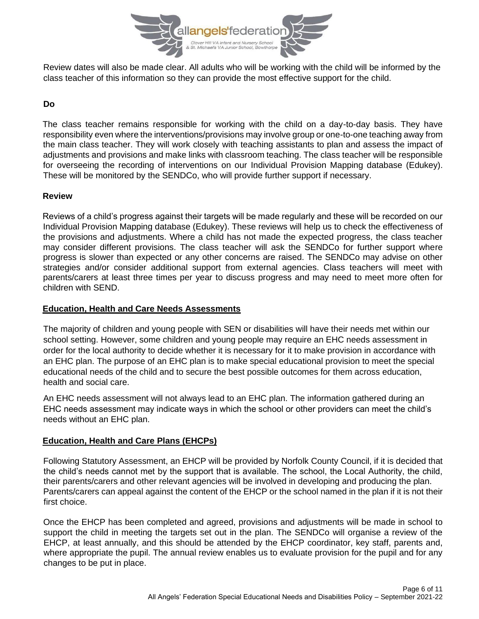

Review dates will also be made clear. All adults who will be working with the child will be informed by the class teacher of this information so they can provide the most effective support for the child.

# **Do**

The class teacher remains responsible for working with the child on a day-to-day basis. They have responsibility even where the interventions/provisions may involve group or one-to-one teaching away from the main class teacher. They will work closely with teaching assistants to plan and assess the impact of adjustments and provisions and make links with classroom teaching. The class teacher will be responsible for overseeing the recording of interventions on our Individual Provision Mapping database (Edukey). These will be monitored by the SENDCo, who will provide further support if necessary.

## **Review**

Reviews of a child's progress against their targets will be made regularly and these will be recorded on our Individual Provision Mapping database (Edukey). These reviews will help us to check the effectiveness of the provisions and adjustments. Where a child has not made the expected progress, the class teacher may consider different provisions. The class teacher will ask the SENDCo for further support where progress is slower than expected or any other concerns are raised. The SENDCo may advise on other strategies and/or consider additional support from external agencies. Class teachers will meet with parents/carers at least three times per year to discuss progress and may need to meet more often for children with SEND.

## **Education, Health and Care Needs Assessments**

The majority of children and young people with SEN or disabilities will have their needs met within our school setting. However, some children and young people may require an EHC needs assessment in order for the local authority to decide whether it is necessary for it to make provision in accordance with an EHC plan. The purpose of an EHC plan is to make special educational provision to meet the special educational needs of the child and to secure the best possible outcomes for them across education, health and social care.

An EHC needs assessment will not always lead to an EHC plan. The information gathered during an EHC needs assessment may indicate ways in which the school or other providers can meet the child's needs without an EHC plan.

## **Education, Health and Care Plans (EHCPs)**

Following Statutory Assessment, an EHCP will be provided by Norfolk County Council, if it is decided that the child's needs cannot met by the support that is available. The school, the Local Authority, the child, their parents/carers and other relevant agencies will be involved in developing and producing the plan. Parents/carers can appeal against the content of the EHCP or the school named in the plan if it is not their first choice.

Once the EHCP has been completed and agreed, provisions and adjustments will be made in school to support the child in meeting the targets set out in the plan. The SENDCo will organise a review of the EHCP, at least annually, and this should be attended by the EHCP coordinator, key staff, parents and, where appropriate the pupil. The annual review enables us to evaluate provision for the pupil and for any changes to be put in place.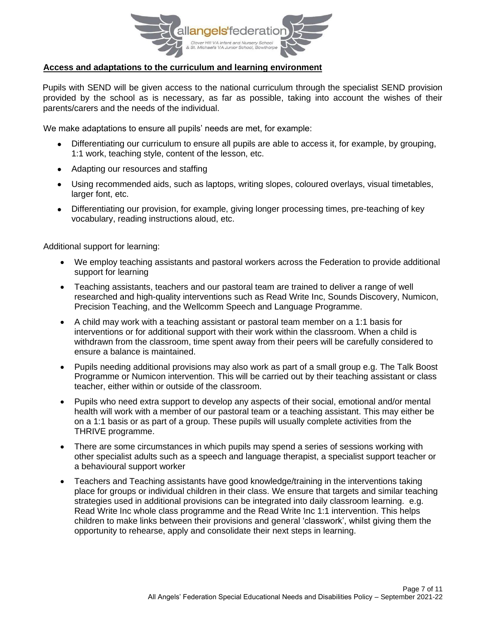

## **Access and adaptations to the curriculum and learning environment**

Pupils with SEND will be given access to the national curriculum through the specialist SEND provision provided by the school as is necessary, as far as possible, taking into account the wishes of their parents/carers and the needs of the individual.

We make adaptations to ensure all pupils' needs are met, for example:

- Differentiating our curriculum to ensure all pupils are able to access it, for example, by grouping, 1:1 work, teaching style, content of the lesson, etc.
- Adapting our resources and staffing
- Using recommended aids, such as laptops, writing slopes, coloured overlays, visual timetables, larger font, etc.
- Differentiating our provision, for example, giving longer processing times, pre-teaching of key vocabulary, reading instructions aloud, etc.

Additional support for learning:

- We employ teaching assistants and pastoral workers across the Federation to provide additional support for learning
- Teaching assistants, teachers and our pastoral team are trained to deliver a range of well researched and high-quality interventions such as Read Write Inc, Sounds Discovery, Numicon, Precision Teaching, and the Wellcomm Speech and Language Programme.
- A child may work with a teaching assistant or pastoral team member on a 1:1 basis for interventions or for additional support with their work within the classroom. When a child is withdrawn from the classroom, time spent away from their peers will be carefully considered to ensure a balance is maintained.
- Pupils needing additional provisions may also work as part of a small group e.g. The Talk Boost Programme or Numicon intervention. This will be carried out by their teaching assistant or class teacher, either within or outside of the classroom.
- Pupils who need extra support to develop any aspects of their social, emotional and/or mental health will work with a member of our pastoral team or a teaching assistant. This may either be on a 1:1 basis or as part of a group. These pupils will usually complete activities from the THRIVE programme.
- There are some circumstances in which pupils may spend a series of sessions working with other specialist adults such as a speech and language therapist, a specialist support teacher or a behavioural support worker
- Teachers and Teaching assistants have good knowledge/training in the interventions taking place for groups or individual children in their class. We ensure that targets and similar teaching strategies used in additional provisions can be integrated into daily classroom learning. e.g. Read Write Inc whole class programme and the Read Write Inc 1:1 intervention. This helps children to make links between their provisions and general 'classwork', whilst giving them the opportunity to rehearse, apply and consolidate their next steps in learning.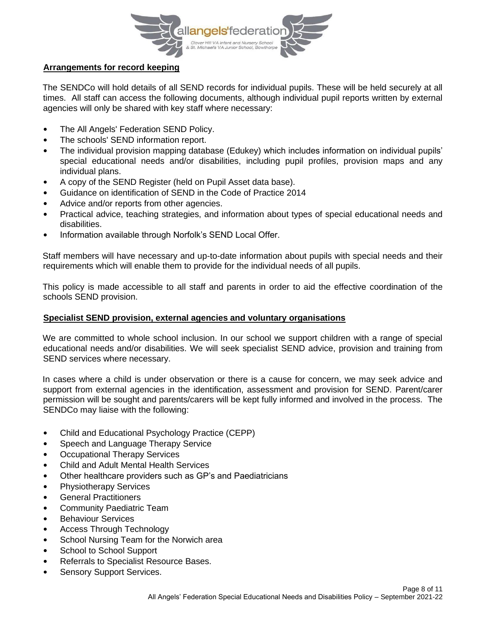

## **Arrangements for record keeping**

The SENDCo will hold details of all SEND records for individual pupils. These will be held securely at all times. All staff can access the following documents, although individual pupil reports written by external agencies will only be shared with key staff where necessary:

- The All Angels' Federation SEND Policy.
- The schools' SEND information report.
- The individual provision mapping database (Edukey) which includes information on individual pupils' special educational needs and/or disabilities, including pupil profiles, provision maps and any individual plans.
- A copy of the SEND Register (held on Pupil Asset data base).
- Guidance on identification of SEND in the Code of Practice 2014
- Advice and/or reports from other agencies.
- Practical advice, teaching strategies, and information about types of special educational needs and disabilities.
- Information available through Norfolk's SEND Local Offer.

Staff members will have necessary and up-to-date information about pupils with special needs and their requirements which will enable them to provide for the individual needs of all pupils.

This policy is made accessible to all staff and parents in order to aid the effective coordination of the schools SEND provision.

## **Specialist SEND provision, external agencies and voluntary organisations**

We are committed to whole school inclusion. In our school we support children with a range of special educational needs and/or disabilities. We will seek specialist SEND advice, provision and training from SEND services where necessary.

In cases where a child is under observation or there is a cause for concern, we may seek advice and support from external agencies in the identification, assessment and provision for SEND. Parent/carer permission will be sought and parents/carers will be kept fully informed and involved in the process. The SENDCo may liaise with the following:

- Child and Educational Psychology Practice (CEPP)
- Speech and Language Therapy Service
- Occupational Therapy Services
- Child and Adult Mental Health Services
- Other healthcare providers such as GP's and Paediatricians
- Physiotherapy Services
- General Practitioners
- Community Paediatric Team
- Behaviour Services
- Access Through Technology
- School Nursing Team for the Norwich area
- School to School Support
- Referrals to Specialist Resource Bases.
- Sensory Support Services.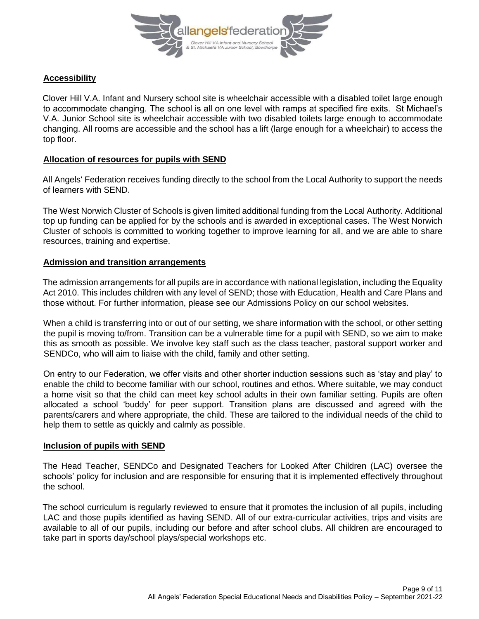

## **Accessibility**

Clover Hill V.A. Infant and Nursery school site is wheelchair accessible with a disabled toilet large enough to accommodate changing. The school is all on one level with ramps at specified fire exits. St Michael's V.A. Junior School site is wheelchair accessible with two disabled toilets large enough to accommodate changing. All rooms are accessible and the school has a lift (large enough for a wheelchair) to access the top floor.

## **Allocation of resources for pupils with SEND**

All Angels' Federation receives funding directly to the school from the Local Authority to support the needs of learners with SEND.

The West Norwich Cluster of Schools is given limited additional funding from the Local Authority. Additional top up funding can be applied for by the schools and is awarded in exceptional cases. The West Norwich Cluster of schools is committed to working together to improve learning for all, and we are able to share resources, training and expertise.

#### **Admission and transition arrangements**

The admission arrangements for all pupils are in accordance with national legislation, including the Equality Act 2010. This includes children with any level of SEND; those with Education, Health and Care Plans and those without. For further information, please see our Admissions Policy on our school websites.

When a child is transferring into or out of our setting, we share information with the school, or other setting the pupil is moving to/from. Transition can be a vulnerable time for a pupil with SEND, so we aim to make this as smooth as possible. We involve key staff such as the class teacher, pastoral support worker and SENDCo, who will aim to liaise with the child, family and other setting.

On entry to our Federation, we offer visits and other shorter induction sessions such as 'stay and play' to enable the child to become familiar with our school, routines and ethos. Where suitable, we may conduct a home visit so that the child can meet key school adults in their own familiar setting. Pupils are often allocated a school 'buddy' for peer support. Transition plans are discussed and agreed with the parents/carers and where appropriate, the child. These are tailored to the individual needs of the child to help them to settle as quickly and calmly as possible.

#### **Inclusion of pupils with SEND**

The Head Teacher, SENDCo and Designated Teachers for Looked After Children (LAC) oversee the schools' policy for inclusion and are responsible for ensuring that it is implemented effectively throughout the school.

The school curriculum is regularly reviewed to ensure that it promotes the inclusion of all pupils, including LAC and those pupils identified as having SEND. All of our extra-curricular activities, trips and visits are available to all of our pupils, including our before and after school clubs. All children are encouraged to take part in sports day/school plays/special workshops etc.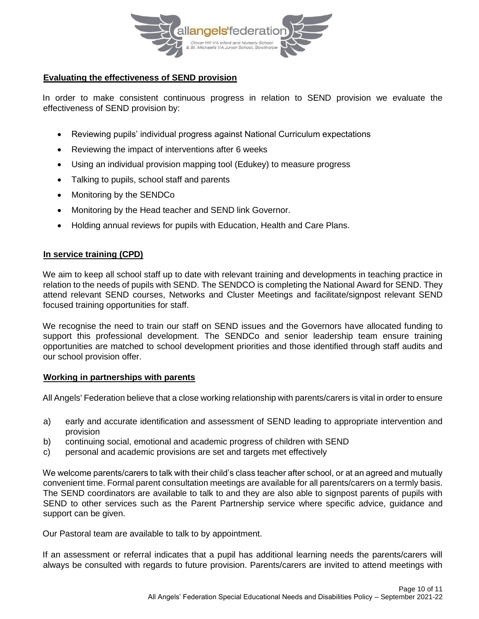

## **Evaluating the effectiveness of SEND provision**

In order to make consistent continuous progress in relation to SEND provision we evaluate the effectiveness of SEND provision by:

- Reviewing pupils' individual progress against National Curriculum expectations
- Reviewing the impact of interventions after 6 weeks
- Using an individual provision mapping tool (Edukey) to measure progress
- Talking to pupils, school staff and parents
- Monitoring by the SENDCo
- Monitoring by the Head teacher and SEND link Governor.
- Holding annual reviews for pupils with Education, Health and Care Plans.

#### **In service training (CPD)**

We aim to keep all school staff up to date with relevant training and developments in teaching practice in relation to the needs of pupils with SEND. The SENDCO is completing the National Award for SEND. They attend relevant SEND courses, Networks and Cluster Meetings and facilitate/signpost relevant SEND focused training opportunities for staff.

We recognise the need to train our staff on SEND issues and the Governors have allocated funding to support this professional development. The SENDCo and senior leadership team ensure training opportunities are matched to school development priorities and those identified through staff audits and our school provision offer.

#### **Working in partnerships with parents**

All Angels' Federation believe that a close working relationship with parents/carers is vital in order to ensure

- a) early and accurate identification and assessment of SEND leading to appropriate intervention and provision
- b) continuing social, emotional and academic progress of children with SEND
- c) personal and academic provisions are set and targets met effectively

We welcome parents/carers to talk with their child's class teacher after school, or at an agreed and mutually convenient time. Formal parent consultation meetings are available for all parents/carers on a termly basis. The SEND coordinators are available to talk to and they are also able to signpost parents of pupils with SEND to other services such as the Parent Partnership service where specific advice, guidance and support can be given.

Our Pastoral team are available to talk to by appointment.

If an assessment or referral indicates that a pupil has additional learning needs the parents/carers will always be consulted with regards to future provision. Parents/carers are invited to attend meetings with